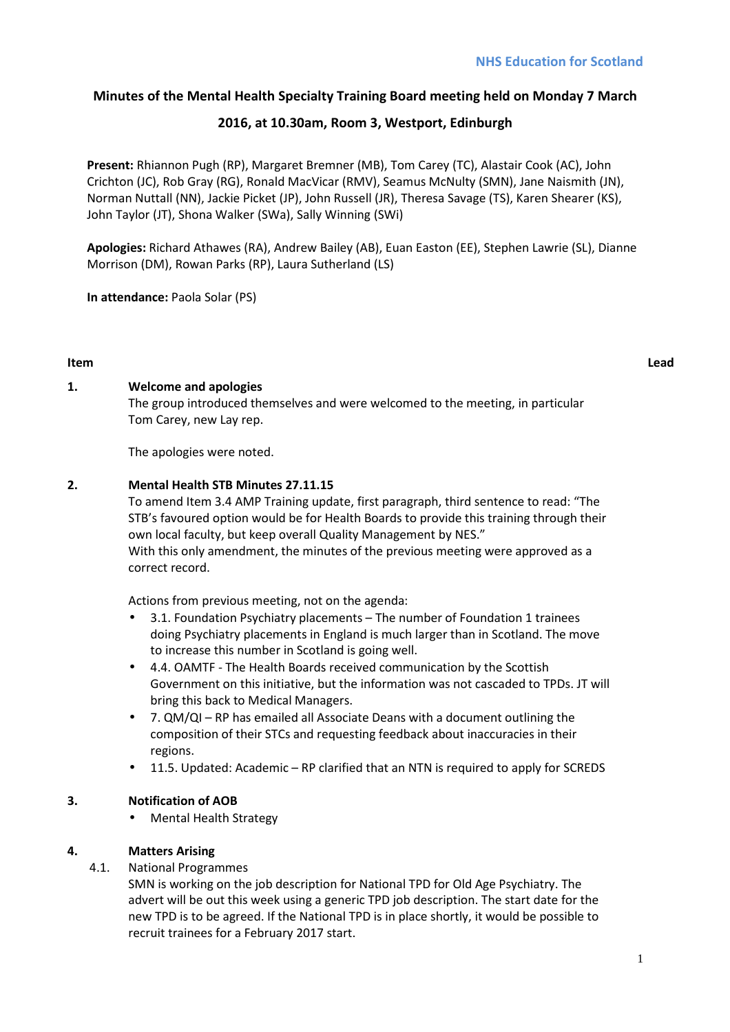# **Minutes of the Mental Health Specialty Training Board meeting held on Monday 7 March**

# **2016, at 10.30am, Room 3, Westport, Edinburgh**

**Present:** Rhiannon Pugh (RP), Margaret Bremner (MB), Tom Carey (TC), Alastair Cook (AC), John Crichton (JC), Rob Gray (RG), Ronald MacVicar (RMV), Seamus McNulty (SMN), Jane Naismith (JN), Norman Nuttall (NN), Jackie Picket (JP), John Russell (JR), Theresa Savage (TS), Karen Shearer (KS), John Taylor (JT), Shona Walker (SWa), Sally Winning (SWi)

**Apologies:** Richard Athawes (RA), Andrew Bailey (AB), Euan Easton (EE), Stephen Lawrie (SL), Dianne Morrison (DM), Rowan Parks (RP), Laura Sutherland (LS)

**In attendance:** Paola Solar (PS)

#### **Item Lead**

# **1. Welcome and apologies**

The group introduced themselves and were welcomed to the meeting, in particular Tom Carey, new Lay rep.

The apologies were noted.

# **2. Mental Health STB Minutes 27.11.15**

To amend Item 3.4 AMP Training update, first paragraph, third sentence to read: "The STB's favoured option would be for Health Boards to provide this training through their own local faculty, but keep overall Quality Management by NES." With this only amendment, the minutes of the previous meeting were approved as a correct record.

Actions from previous meeting, not on the agenda:

- 3.1. Foundation Psychiatry placements The number of Foundation 1 trainees doing Psychiatry placements in England is much larger than in Scotland. The move to increase this number in Scotland is going well.
- 4.4. OAMTF The Health Boards received communication by the Scottish Government on this initiative, but the information was not cascaded to TPDs. JT will bring this back to Medical Managers.
- 7. QM/QI RP has emailed all Associate Deans with a document outlining the composition of their STCs and requesting feedback about inaccuracies in their regions.
- 11.5. Updated: Academic RP clarified that an NTN is required to apply for SCREDS

# **3. Notification of AOB**

• Mental Health Strategy

# **4. Matters Arising**

4.1. National Programmes

SMN is working on the job description for National TPD for Old Age Psychiatry. The advert will be out this week using a generic TPD job description. The start date for the new TPD is to be agreed. If the National TPD is in place shortly, it would be possible to recruit trainees for a February 2017 start.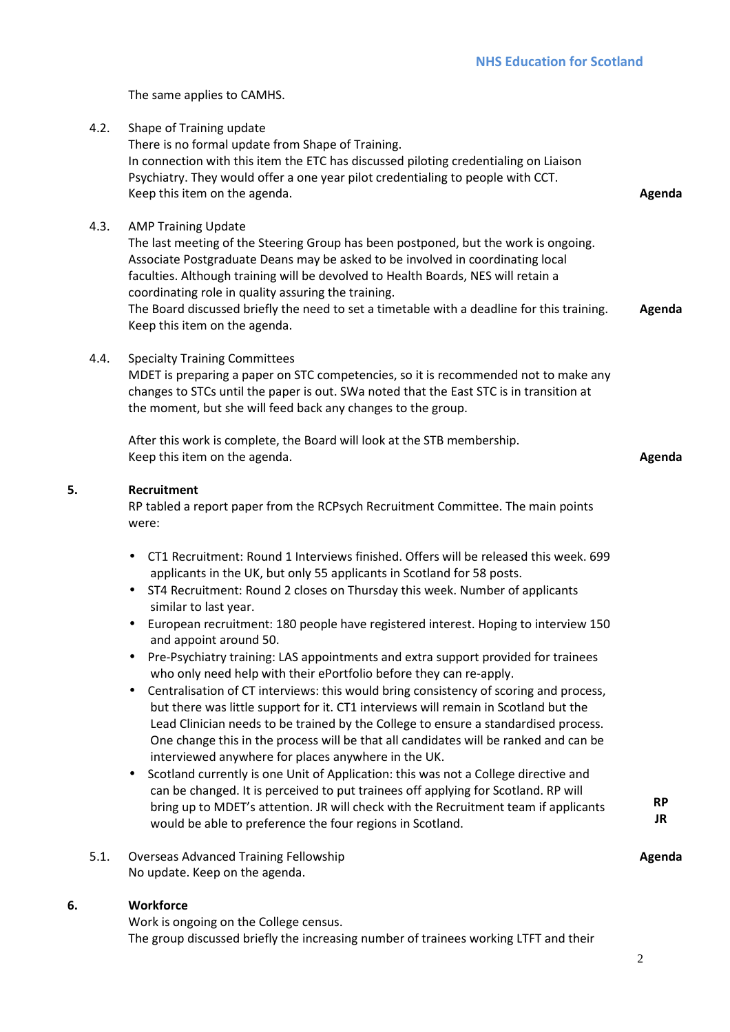The same applies to CAMHS.

4.2. Shape of Training update There is no formal update from Shape of Training. In connection with this item the ETC has discussed piloting credentialing on Liaison Psychiatry. They would offer a one year pilot credentialing to people with CCT. Keep this item on the agenda. **Agents Agenda Agenda Agenda Agenda Agenda** 4.3. AMP Training Update The last meeting of the Steering Group has been postponed, but the work is ongoing. Associate Postgraduate Deans may be asked to be involved in coordinating local faculties. Although training will be devolved to Health Boards, NES will retain a coordinating role in quality assuring the training. The Board discussed briefly the need to set a timetable with a deadline for this training. Keep this item on the agenda. **Agenda**  4.4. Specialty Training Committees MDET is preparing a paper on STC competencies, so it is recommended not to make any changes to STCs until the paper is out. SWa noted that the East STC is in transition at the moment, but she will feed back any changes to the group. After this work is complete, the Board will look at the STB membership. Keep this item on the agenda. **Agenda 5. Recruitment**  RP tabled a report paper from the RCPsych Recruitment Committee. The main points were: • CT1 Recruitment: Round 1 Interviews finished. Offers will be released this week. 699 applicants in the UK, but only 55 applicants in Scotland for 58 posts. • ST4 Recruitment: Round 2 closes on Thursday this week. Number of applicants similar to last year. • European recruitment: 180 people have registered interest. Hoping to interview 150 and appoint around 50. • Pre-Psychiatry training: LAS appointments and extra support provided for trainees who only need help with their ePortfolio before they can re-apply. • Centralisation of CT interviews: this would bring consistency of scoring and process, but there was little support for it. CT1 interviews will remain in Scotland but the Lead Clinician needs to be trained by the College to ensure a standardised process. One change this in the process will be that all candidates will be ranked and can be interviewed anywhere for places anywhere in the UK. • Scotland currently is one Unit of Application: this was not a College directive and can be changed. It is perceived to put trainees off applying for Scotland. RP will bring up to MDET's attention. JR will check with the Recruitment team if applicants would be able to preference the four regions in Scotland. **RP JR**  5.1. Overseas Advanced Training Fellowship No update. Keep on the agenda. **Agenda 6. Workforce**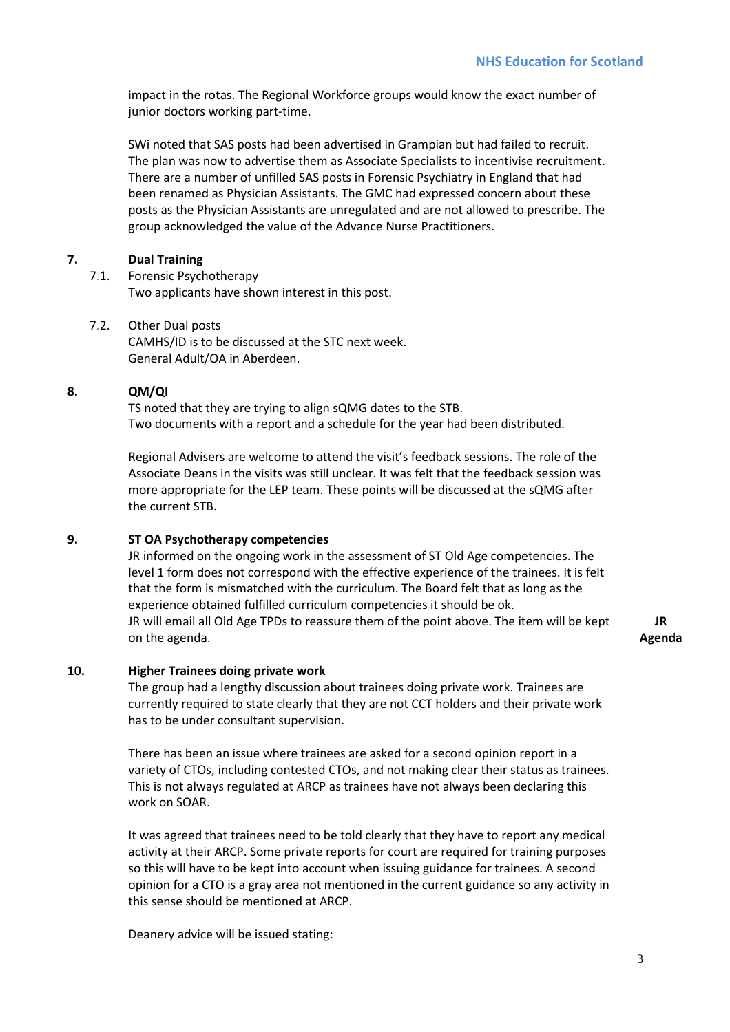impact in the rotas. The Regional Workforce groups would know the exact number of junior doctors working part-time.

SWi noted that SAS posts had been advertised in Grampian but had failed to recruit. The plan was now to advertise them as Associate Specialists to incentivise recruitment. There are a number of unfilled SAS posts in Forensic Psychiatry in England that had been renamed as Physician Assistants. The GMC had expressed concern about these posts as the Physician Assistants are unregulated and are not allowed to prescribe. The group acknowledged the value of the Advance Nurse Practitioners.

## **7. Dual Training**

7.1. Forensic Psychotherapy Two applicants have shown interest in this post.

7.2. Other Dual posts CAMHS/ID is to be discussed at the STC next week. General Adult/OA in Aberdeen.

#### **8. QM/QI**

TS noted that they are trying to align sQMG dates to the STB. Two documents with a report and a schedule for the year had been distributed.

Regional Advisers are welcome to attend the visit's feedback sessions. The role of the Associate Deans in the visits was still unclear. It was felt that the feedback session was more appropriate for the LEP team. These points will be discussed at the sQMG after the current STB.

#### **9. ST OA Psychotherapy competencies**

JR informed on the ongoing work in the assessment of ST Old Age competencies. The level 1 form does not correspond with the effective experience of the trainees. It is felt that the form is mismatched with the curriculum. The Board felt that as long as the experience obtained fulfilled curriculum competencies it should be ok. JR will email all Old Age TPDs to reassure them of the point above. The item will be kept on the agenda.

**JR Agenda** 

## **10. Higher Trainees doing private work**

The group had a lengthy discussion about trainees doing private work. Trainees are currently required to state clearly that they are not CCT holders and their private work has to be under consultant supervision.

There has been an issue where trainees are asked for a second opinion report in a variety of CTOs, including contested CTOs, and not making clear their status as trainees. This is not always regulated at ARCP as trainees have not always been declaring this work on SOAR.

It was agreed that trainees need to be told clearly that they have to report any medical activity at their ARCP. Some private reports for court are required for training purposes so this will have to be kept into account when issuing guidance for trainees. A second opinion for a CTO is a gray area not mentioned in the current guidance so any activity in this sense should be mentioned at ARCP.

Deanery advice will be issued stating: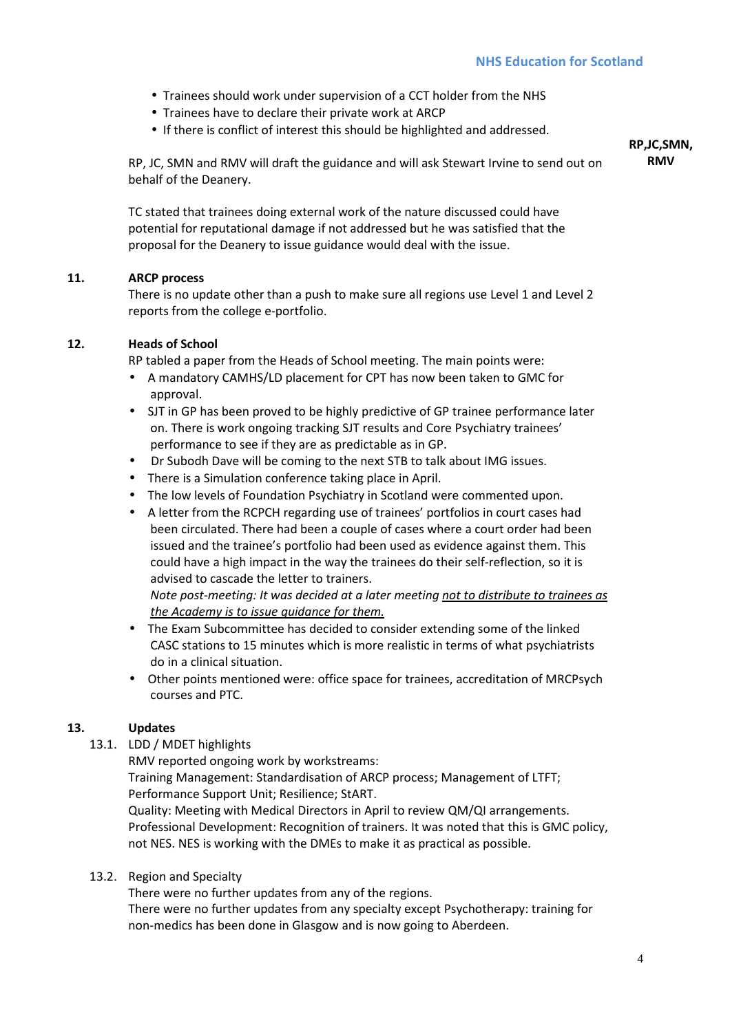- Trainees should work under supervision of a CCT holder from the NHS
- Trainees have to declare their private work at ARCP
- If there is conflict of interest this should be highlighted and addressed.

RP, JC, SMN and RMV will draft the guidance and will ask Stewart Irvine to send out on behalf of the Deanery.

**RP,JC,SMN, RMV** 

TC stated that trainees doing external work of the nature discussed could have potential for reputational damage if not addressed but he was satisfied that the proposal for the Deanery to issue guidance would deal with the issue.

## **11. ARCP process**

There is no update other than a push to make sure all regions use Level 1 and Level 2 reports from the college e-portfolio.

## **12. Heads of School**

RP tabled a paper from the Heads of School meeting. The main points were:

- A mandatory CAMHS/LD placement for CPT has now been taken to GMC for approval.
- SJT in GP has been proved to be highly predictive of GP trainee performance later on. There is work ongoing tracking SJT results and Core Psychiatry trainees' performance to see if they are as predictable as in GP.
- Dr Subodh Dave will be coming to the next STB to talk about IMG issues.
- There is a Simulation conference taking place in April.
- The low levels of Foundation Psychiatry in Scotland were commented upon.
- A letter from the RCPCH regarding use of trainees' portfolios in court cases had been circulated. There had been a couple of cases where a court order had been issued and the trainee's portfolio had been used as evidence against them. This could have a high impact in the way the trainees do their self-reflection, so it is advised to cascade the letter to trainers.

*Note post-meeting: It was decided at a later meeting not to distribute to trainees as the Academy is to issue guidance for them.* 

- The Exam Subcommittee has decided to consider extending some of the linked CASC stations to 15 minutes which is more realistic in terms of what psychiatrists do in a clinical situation.
- Other points mentioned were: office space for trainees, accreditation of MRCPsych courses and PTC.

#### **13. Updates**

13.1. LDD / MDET highlights

RMV reported ongoing work by workstreams:

Training Management: Standardisation of ARCP process; Management of LTFT; Performance Support Unit; Resilience; StART.

Quality: Meeting with Medical Directors in April to review QM/QI arrangements. Professional Development: Recognition of trainers. It was noted that this is GMC policy, not NES. NES is working with the DMEs to make it as practical as possible.

#### 13.2. Region and Specialty

There were no further updates from any of the regions.

There were no further updates from any specialty except Psychotherapy: training for non-medics has been done in Glasgow and is now going to Aberdeen.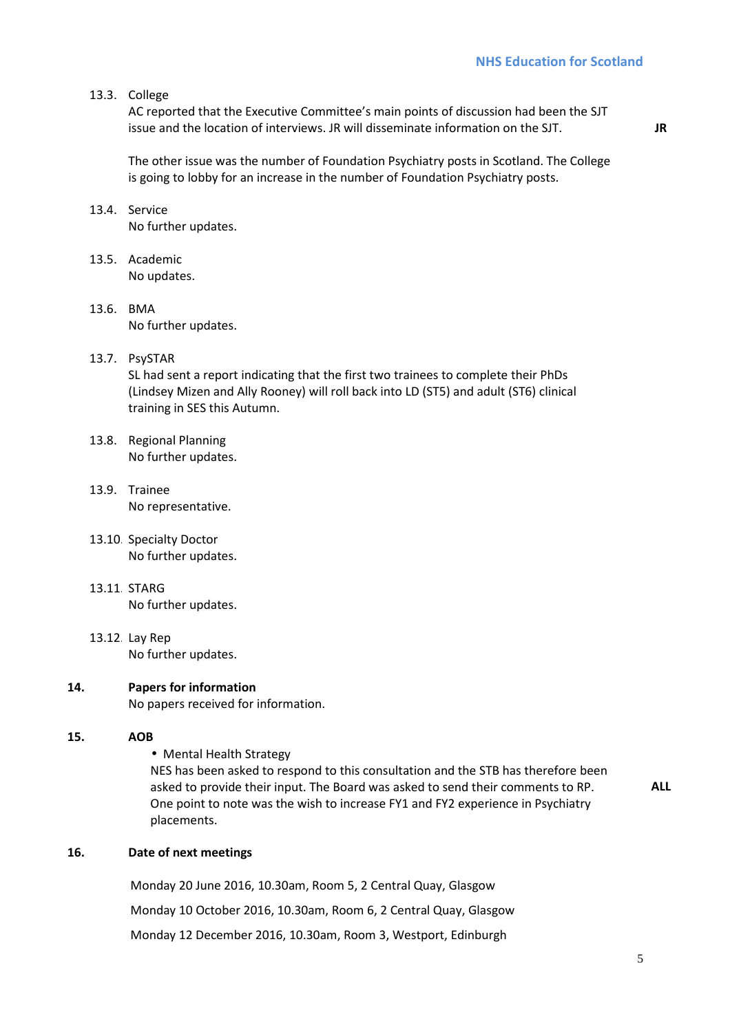**JR** 

#### 13.3. College

AC reported that the Executive Committee's main points of discussion had been the SJT issue and the location of interviews. JR will disseminate information on the SJT.

The other issue was the number of Foundation Psychiatry posts in Scotland. The College is going to lobby for an increase in the number of Foundation Psychiatry posts.

- 13.4. Service No further updates.
- 13.5. Academic No updates.
- 13.6. BMA No further updates.

#### 13.7. PsySTAR

SL had sent a report indicating that the first two trainees to complete their PhDs (Lindsey Mizen and Ally Rooney) will roll back into LD (ST5) and adult (ST6) clinical training in SES this Autumn.

- 13.8. Regional Planning No further updates.
- 13.9. Trainee No representative.
- 13.10. Specialty Doctor No further updates.
- 13.11. STARG No further updates.
- 13.12. Lay Rep No further updates.

#### **14. Papers for information**

No papers received for information.

#### **15. AOB**

• Mental Health Strategy

NES has been asked to respond to this consultation and the STB has therefore been asked to provide their input. The Board was asked to send their comments to RP. One point to note was the wish to increase FY1 and FY2 experience in Psychiatry placements.

**ALL** 

#### **16. Date of next meetings**

Monday 20 June 2016, 10.30am, Room 5, 2 Central Quay, Glasgow Monday 10 October 2016, 10.30am, Room 6, 2 Central Quay, Glasgow Monday 12 December 2016, 10.30am, Room 3, Westport, Edinburgh